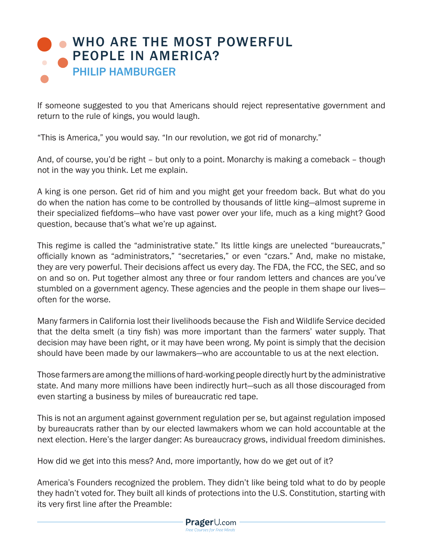## **[WHO ARE THE MOST POWERFUL](https://www.prageru.com/videos/who-are-most-powerful-people-america)** PEOPLE IN AMERICA? PHILIP HAMBURGER

If someone suggested to you that Americans should reject representative government and return to the rule of kings, you would laugh.

"This is America," you would say. "In our revolution, we got rid of monarchy."

And, of course, you'd be right – but only to a point. Monarchy is making a comeback – though not in the way you think. Let me explain.

A king is one person. Get rid of him and you might get your freedom back. But what do you do when the nation has come to be controlled by thousands of little king—almost supreme in their specialized fiefdoms—who have vast power over your life, much as a king might? Good question, because that's what we're up against.

This regime is called the "administrative state." Its little kings are unelected "bureaucrats," officially known as "administrators," "secretaries," or even "czars." And, make no mistake, they are very powerful. Their decisions affect us every day. The FDA, the FCC, the SEC, and so on and so on. Put together almost any three or four random letters and chances are you've stumbled on a government agency. These agencies and the people in them shape our lives often for the worse.

Many farmers in California lost their livelihoods because the Fish and Wildlife Service decided that the delta smelt (a tiny fish) was more important than the farmers' water supply. That decision may have been right, or it may have been wrong. My point is simply that the decision should have been made by our lawmakers—who are accountable to us at the next election.

Those farmers are among the millions of hard-working people directly hurt by the administrative state. And many more millions have been indirectly hurt—such as all those discouraged from even starting a business by miles of bureaucratic red tape.

This is not an argument against government regulation per se, but against regulation imposed by bureaucrats rather than by our elected lawmakers whom we can hold accountable at the next election. Here's the larger danger: As bureaucracy grows, individual freedom diminishes.

How did we get into this mess? And, more importantly, how do we get out of it?

America's Founders recognized the problem. They didn't like being told what to do by people they hadn't voted for. They built all kinds of protections into the U.S. Constitution, starting with its very first line after the Preamble: